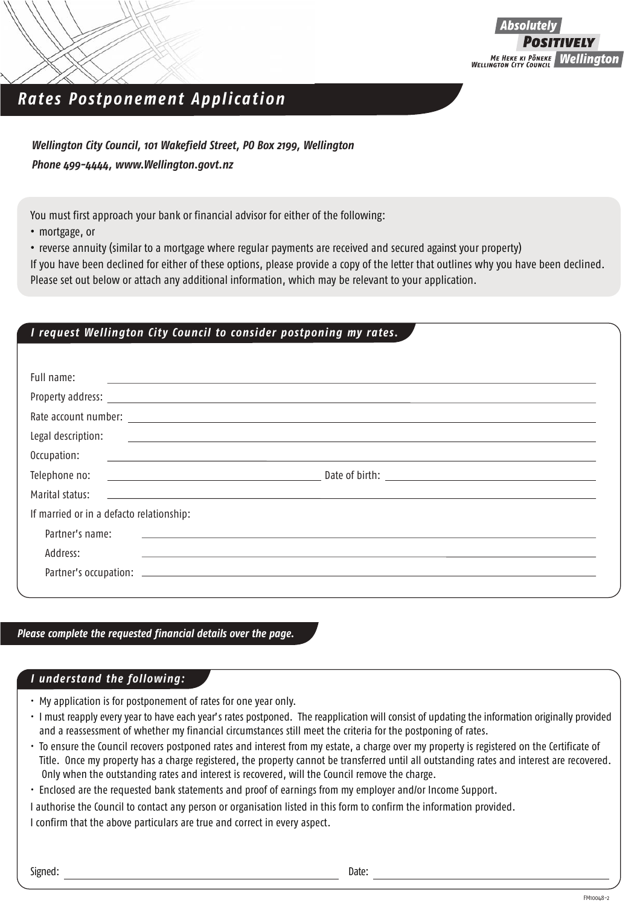

## *Rates Postponement Application*

*Wellington City Council, 101 Wakefield Street, PO Box 2199, Wellington Phone 499-4444, www.Wellington.govt.nz*

You must first approach your bank or financial advisor for either of the following:

**•** mortgage, or

**•** reverse annuity (similar to a mortgage where regular payments are received and secured against your property)

If you have been declined for either of these options, please provide a copy of the letter that outlines why you have been declined. Please set out below or attach any additional information, which may be relevant to your application.

## *I request Wellington City Council to consider postponing my rates.*

| Legal description:<br><u> Alexandria de la contrada de la contrada de la contrada de la contrada de la contrada de la contrada de la c</u><br>Occupation:<br><u> 1980 - Andrea Station Barbara, amerikan personal (h. 1980).</u><br>1980 - Andrea Station Barbara, professor eta industrial (h. 1980).<br>Telephone no:<br><u> 1989 - Johann Barnett, fransk politiker (d. 1989)</u><br>Marital status:<br><u>state and the state of the state of the state of the state of the state of the state of the state of the state of the state of the state of the state of the state of the state of the state of the state of the state of the</u><br>If married or in a defacto relationship:<br>Partner's name:<br><u> 1980 - Jan Samuel Barbara, martin a shekara tsara 1980 - An tsara 1980 - An tsara 1980 - An tsara 1980 - An t</u> |  |
|-----------------------------------------------------------------------------------------------------------------------------------------------------------------------------------------------------------------------------------------------------------------------------------------------------------------------------------------------------------------------------------------------------------------------------------------------------------------------------------------------------------------------------------------------------------------------------------------------------------------------------------------------------------------------------------------------------------------------------------------------------------------------------------------------------------------------------------------|--|
|                                                                                                                                                                                                                                                                                                                                                                                                                                                                                                                                                                                                                                                                                                                                                                                                                                         |  |
|                                                                                                                                                                                                                                                                                                                                                                                                                                                                                                                                                                                                                                                                                                                                                                                                                                         |  |
|                                                                                                                                                                                                                                                                                                                                                                                                                                                                                                                                                                                                                                                                                                                                                                                                                                         |  |
|                                                                                                                                                                                                                                                                                                                                                                                                                                                                                                                                                                                                                                                                                                                                                                                                                                         |  |
|                                                                                                                                                                                                                                                                                                                                                                                                                                                                                                                                                                                                                                                                                                                                                                                                                                         |  |
|                                                                                                                                                                                                                                                                                                                                                                                                                                                                                                                                                                                                                                                                                                                                                                                                                                         |  |
|                                                                                                                                                                                                                                                                                                                                                                                                                                                                                                                                                                                                                                                                                                                                                                                                                                         |  |
|                                                                                                                                                                                                                                                                                                                                                                                                                                                                                                                                                                                                                                                                                                                                                                                                                                         |  |
| Address:                                                                                                                                                                                                                                                                                                                                                                                                                                                                                                                                                                                                                                                                                                                                                                                                                                |  |
|                                                                                                                                                                                                                                                                                                                                                                                                                                                                                                                                                                                                                                                                                                                                                                                                                                         |  |

*Please complete the requested financial details over the page.*

## *I understand the following:*

- My application is for postponement of rates for one year only.
- I must reapply every year to have each year's rates postponed. The reapplication will consist of updating the information originally provided and a reassessment of whether my financial circumstances still meet the criteria for the postponing of rates.
- To ensure the Council recovers postponed rates and interest from my estate, a charge over my property is registered on the Certificate of Title. Once my property has a charge registered, the property cannot be transferred until all outstanding rates and interest are recovered. Only when the outstanding rates and interest is recovered, will the Council remove the charge.
- Enclosed are the requested bank statements and proof of earnings from my employer and/or Income Support.
- I authorise the Council to contact any person or organisation listed in this form to confirm the information provided.

I confirm that the above particulars are true and correct in every aspect.

Signed: Date: